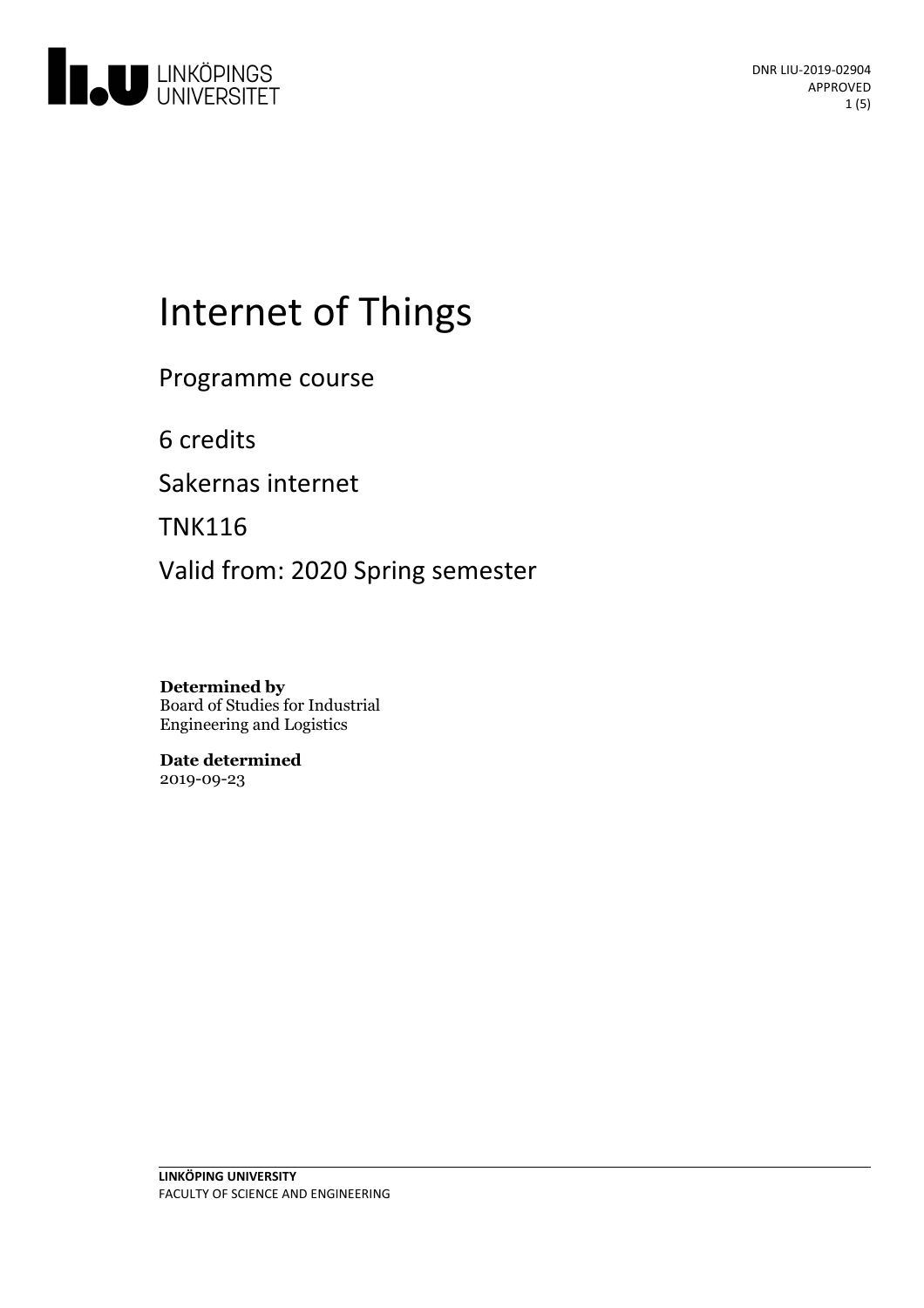

# Internet of Things

Programme course

6 credits

Sakernas internet

TNK116

Valid from: 2020 Spring semester

**Determined by** Board of Studies for Industrial Engineering and Logistics

**Date determined** 2019-09-23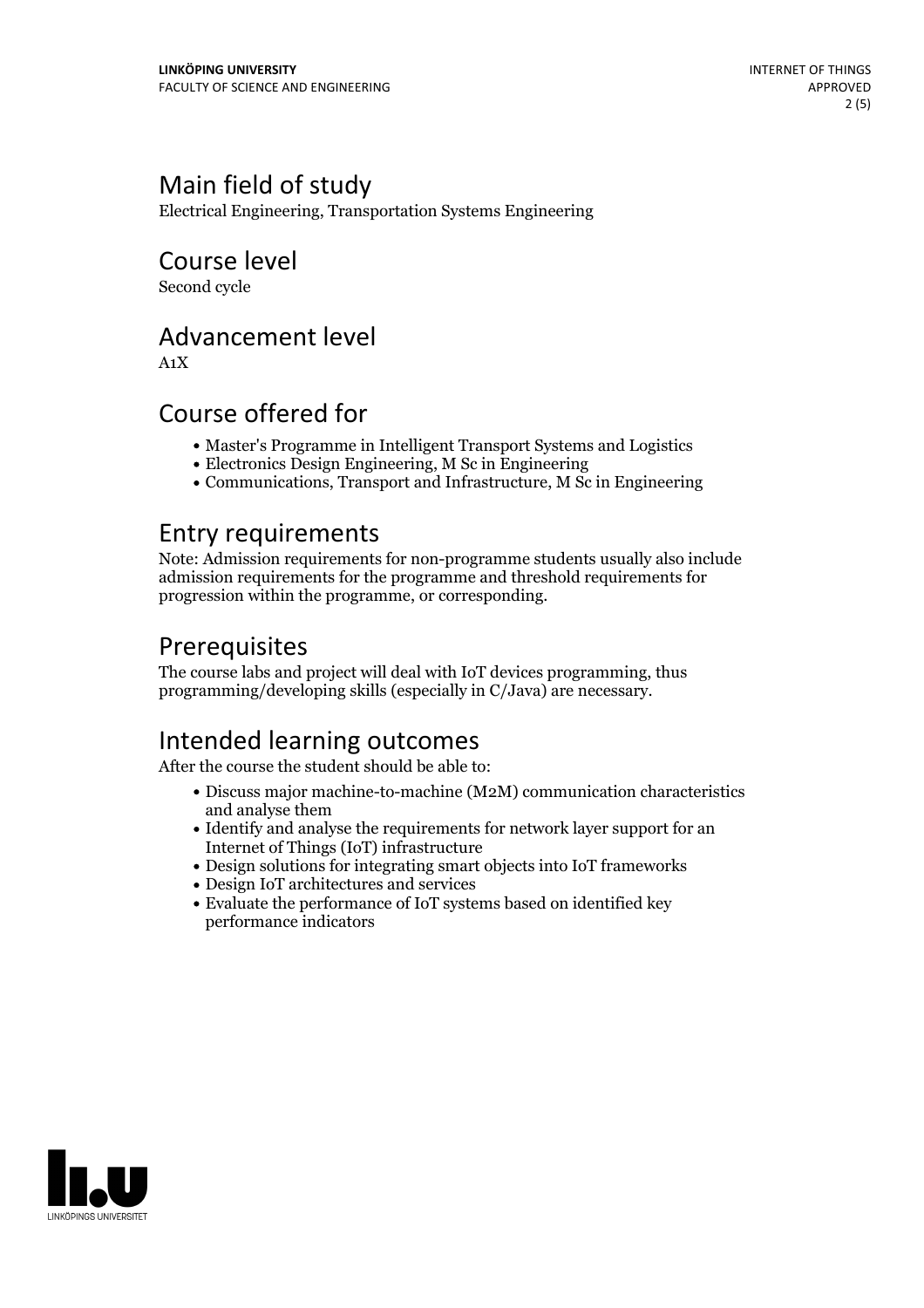# Main field of study

Electrical Engineering, Transportation Systems Engineering

Course level

Second cycle

## Advancement level

A1X

## Course offered for

- Master's Programme in Intelligent Transport Systems and Logistics
- Electronics Design Engineering, M Sc in Engineering
- Communications, Transport and Infrastructure, M Sc in Engineering

#### Entry requirements

Note: Admission requirements for non-programme students usually also include admission requirements for the programme and threshold requirements for progression within the programme, or corresponding.

## Prerequisites

The course labs and project will deal with IoT devices programming, thus programming/developing skills (especially in C/Java) are necessary.

# Intended learning outcomes

After the course the student should be able to:

- Discuss major machine-to-machine (M2M) communication characteristics and analyse them
- Identify and analyse the requirements for network layer support for an Internet of Things (IoT) infrastructure
- Design solutions for integrating smart objects into IoT frameworks
- Design IoT architectures and services
- Evaluate the performance of IoT systems based on identified key performance indicators

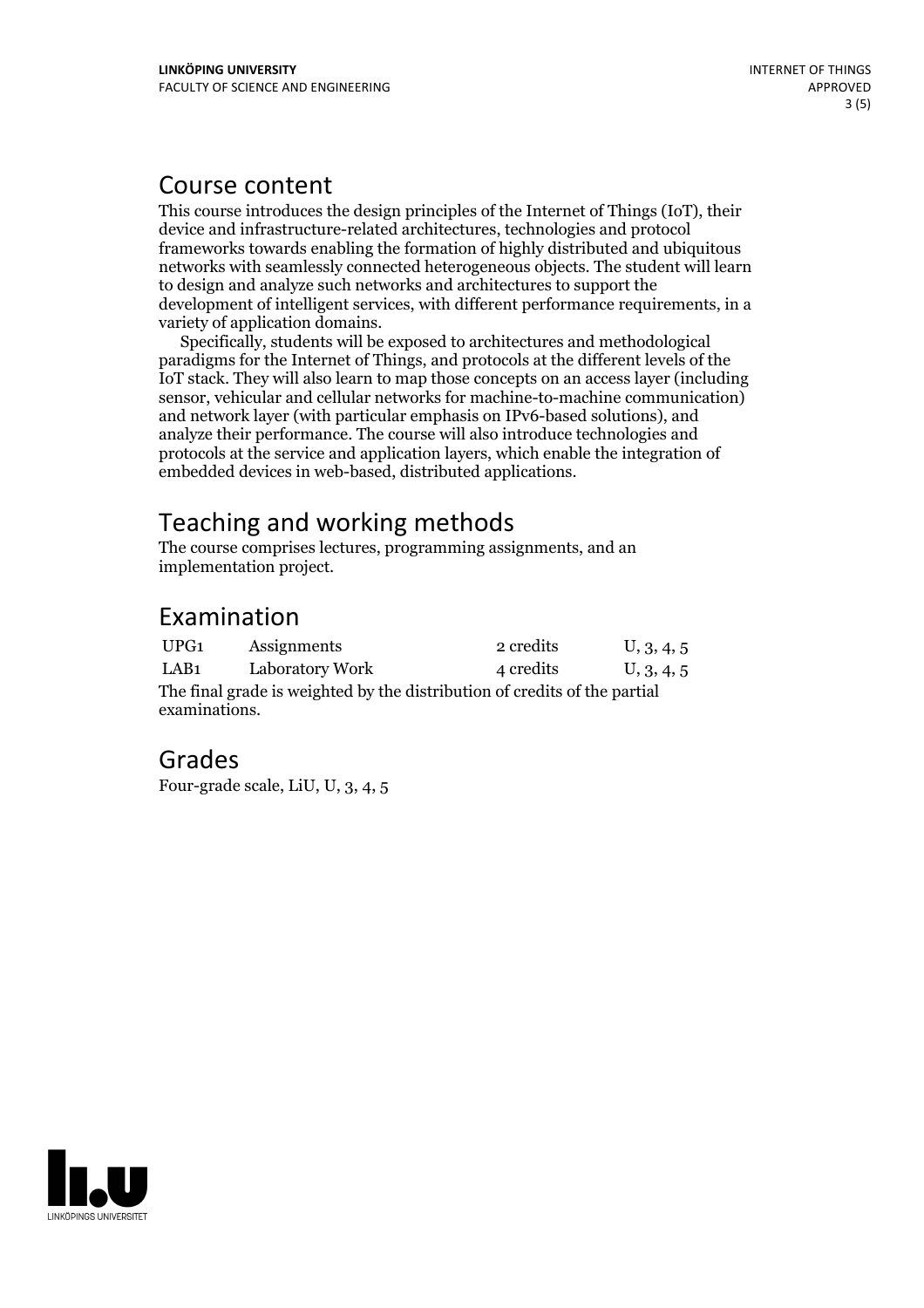#### Course content

This course introduces the design principles of the Internet of Things (IoT), their device and infrastructure-related architectures, technologies and protocol frameworks towards enabling the formation of highly distributed and ubiquitous networks with seamlessly connected heterogeneous objects. The student will learn to design and analyze such networks and architectures to support the development of intelligent services, with different performance requirements, in a

variety of application domains. Specifically, students will be exposed to architectures and methodological paradigms for the Internet of Things, and protocols at the different levels of the IoT stack. They will also learn to map those concepts on an access layer (including sensor, vehicular and cellular networks for machine-to-machine communication) and network layer (with particular emphasis on IPv6-based solutions), and analyze their performance. The course will also introduce technologies and protocols at the service and application layers, which enable the integration of embedded devices in web-based, distributed applications.

# Teaching and working methods

The course comprises lectures, programming assignments, and an implementation project.

## Examination

| UPG1                                                                      | Assignments     | 2 credits | U, 3, 4, 5 |
|---------------------------------------------------------------------------|-----------------|-----------|------------|
| LAB1                                                                      | Laboratory Work | 4 credits | U, 3, 4, 5 |
| The final grade is weighted by the distribution of credits of the partial |                 |           |            |
| examinations.                                                             |                 |           |            |

## Grades

Four-grade scale, LiU, U, 3, 4, 5

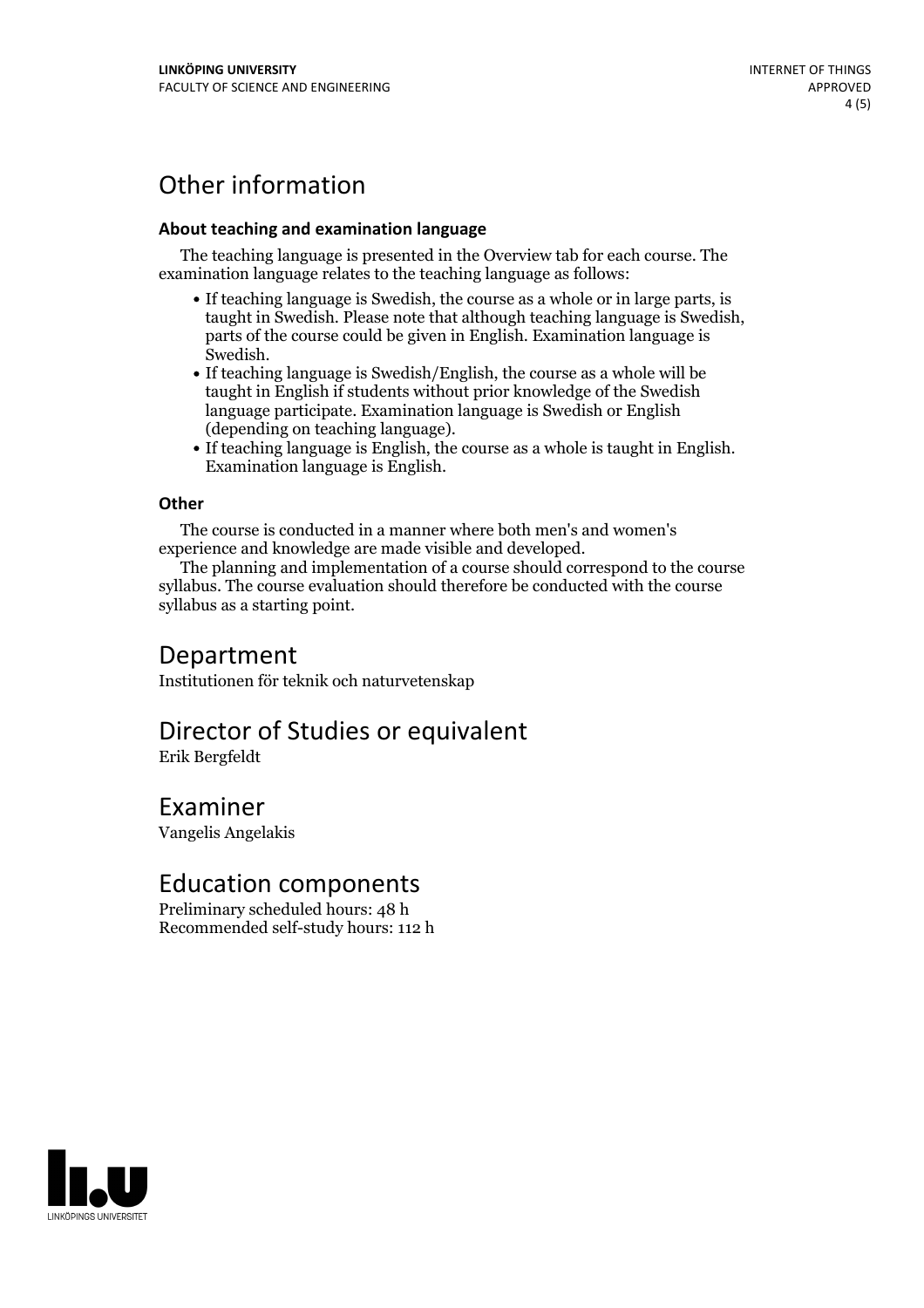# Other information

#### **About teaching and examination language**

The teaching language is presented in the Overview tab for each course. The examination language relates to the teaching language as follows:

- If teaching language is Swedish, the course as a whole or in large parts, is taught in Swedish. Please note that although teaching language is Swedish, parts of the course could be given in English. Examination language is
- Swedish.<br>• If teaching language is Swedish/English, the course as a whole will be taught in English if students without prior knowledge of the Swedish language participate. Examination language is Swedish or English
- $\bullet$  If teaching language is English, the course as a whole is taught in English. Examination language is English.

#### **Other**

The course is conducted in a manner where both men's and women's

experience and knowledge are made visible and developed. The planning and implementation of <sup>a</sup> course should correspond to the course syllabus. The course evaluation should therefore be conducted with the course syllabus as a starting point.

#### Department

Institutionen för teknik och naturvetenskap

# Director of Studies or equivalent

Erik Bergfeldt

#### Examiner Vangelis Angelakis

#### Education components

Preliminary scheduled hours: 48 h Recommended self-study hours: 112 h